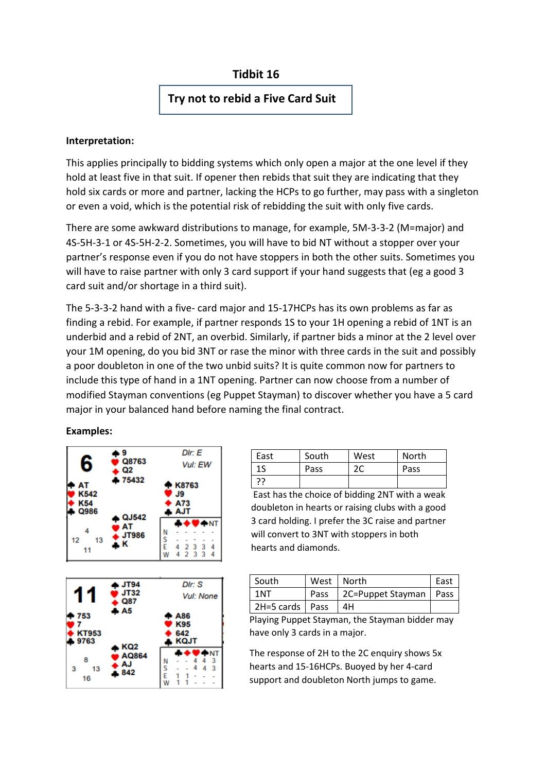# **Tidbit 16**

# **Try not to rebid a Five Card Suit**

### **Interpretation:**

This applies principally to bidding systems which only open a major at the one level if they hold at least five in that suit. If opener then rebids that suit they are indicating that they hold six cards or more and partner, lacking the HCPs to go further, may pass with a singleton or even a void, which is the potential risk of rebidding the suit with only five cards.

There are some awkward distributions to manage, for example, 5M-3-3-2 (M=major) and 4S-5H-3-1 or 4S-5H-2-2. Sometimes, you will have to bid NT without a stopper over your partner's response even if you do not have stoppers in both the other suits. Sometimes you will have to raise partner with only 3 card support if your hand suggests that (eg a good 3 card suit and/or shortage in a third suit).

The 5-3-3-2 hand with a five- card major and 15-17HCPs has its own problems as far as finding a rebid. For example, if partner responds 1S to your 1H opening a rebid of 1NT is an underbid and a rebid of 2NT, an overbid. Similarly, if partner bids a minor at the 2 level over your 1M opening, do you bid 3NT or rase the minor with three cards in the suit and possibly a poor doubleton in one of the two unbid suits? It is quite common now for partners to include this type of hand in a 1NT opening. Partner can now choose from a number of modified Stayman conventions (eg Puppet Stayman) to discover whether you have a 5 card major in your balanced hand before naming the final contract.

**Examples:**



| East | South | West | North |
|------|-------|------|-------|
| 1S   | Pass  | 2С   | Pass  |
| 77   |       |      |       |

East has the choice of bidding 2NT with a weak doubleton in hearts or raising clubs with a good 3 card holding. I prefer the 3C raise and partner will convert to 3NT with stoppers in both hearts and diamonds.

| South             |      | West   North             | East |
|-------------------|------|--------------------------|------|
| ּ 1N1             | Pass | 2C=Puppet Stayman   Pass |      |
| 2H=5 cards   Pass |      | 4H                       |      |

Playing Puppet Stayman, the Stayman bidder may have only 3 cards in a major.

The response of 2H to the 2C enquiry shows 5x hearts and 15-16HCPs. Buoyed by her 4-card support and doubleton North jumps to game.